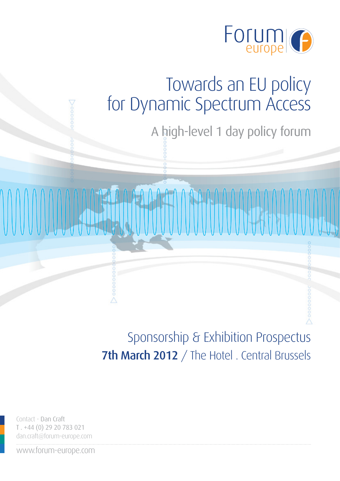

A high-level 1 day policy forum

Sponsorship & Exhibition Prospectus 7th March 2012 / The Hotel . Central Brussels

Contact - Dan Craft T . +44 (0) 29 20 783 021 dan.craft@forum-europe.com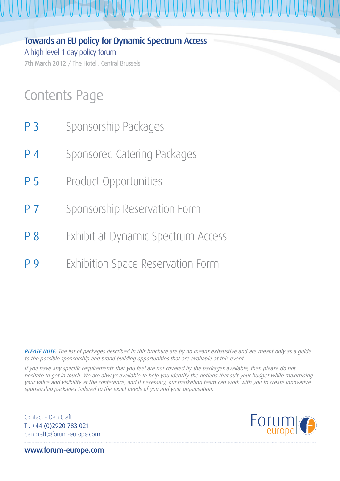Towards an EU policy for Dynamic Spectrum Access A high level 1 day policy forum 7th March 2012 / The Hotel . Central Brussels

## Contents Page

- **P 3** Sponsorship Packages
- P 4 Sponsored Catering Packages
- **P 5** Product Opportunities
- **P 7** Sponsorship Reservation Form
- **P 8** Exhibit at Dynamic Spectrum Access
- **P 9** Exhibition Space Reservation Form

PLEASE NOTE: The list of packages described in this brochure are by no means exhaustive and are meant only as a guide to the possible sponsorship and brand building opportunities that are available at this event.

If you have any specific requirements that you feel are not covered by the packages available, then please do not hesitate to get in touch. We are always available to help you identify the options that suit your budget while maximising your value and visibility at the conference, and if necessary, our marketing team can work with you to create innovative sponsorship packages tailored to the exact needs of you and your organisation.

Contact - Dan Craft T . +44 (0)2920 783 021 dan.craft@forum-europe.com

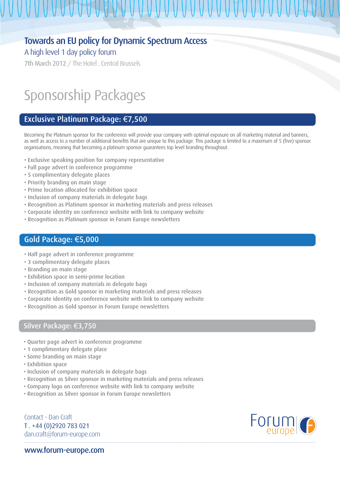#### A high level 1 day policy forum

7th March 2012 / The Hotel . Central Brussels

## Sponsorship Packages

#### Exclusive Platinum Package: €7,500

Becoming the Platinum sponsor for the conference will provide your company with optimal exposure on all marketing material and banners, as well as access to a number of additional benefits that are unique to this package. This package is limited to a maximum of 5 (five) sponsor organisations, meaning that becoming a platinum sponsor guarantees top level branding throughout.

- Exclusive speaking position for company representative
- Full page advert in conference programme
- 5 complimentary delegate places
- Priority branding on main stage
- Prime location allocated for exhibition space
- Inclusion of company materials in delegate bags
- Recognition as Platinum sponsor in marketing materials and press releases
- Corporate identity on conference website with link to company website
- Recognition as Platinum sponsor in Forum Europe newsletters

#### Gold Package: €5,000

- Half page advert in conference programme
- 3 complimentary delegate places
- Branding on main stage
- Exhibition space in semi-prime location
- Inclusion of company materials in delegate bags
- Recognition as Gold sponsor in marketing materials and press releases
- Corporate identity on conference website with link to company website
- Recognition as Gold sponsor in Forum Europe newsletters

#### Silver Package: €3,750

- Quarter page advert in conference programme
- 1 complimentary delegate place
- Some branding on main stage
- Exhibition space
- Inclusion of company materials in delegate bags
- Recognition as Silver sponsor in marketing materials and press releases
- Company logo on conference website with link to company website
- Recognition as Silver sponsor in Forum Europe newsletters

Contact - Dan Craft T . +44 (0)2920 783 021 dan.craft@forum-europe.com

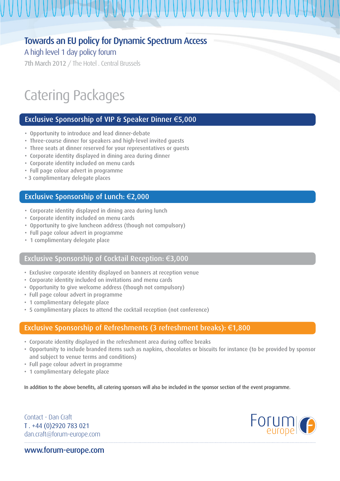UUUUUUUUUUUUUUUUUUUUUUU

A high level 1 day policy forum

7th March 2012 / The Hotel . Central Brussels

## Catering Packages

#### Exclusive Sponsorship of VIP & Speaker Dinner €5,000

- Opportunity to introduce and lead dinner-debate
- Three-course dinner for speakers and high-level invited guests
- Three seats at dinner reserved for your representatives or guests
- Corporate identity displayed in dining area during dinner
- Corporate identity included on menu cards
- Full page colour advert in programme
- 3 complimentary delegate places

#### Exclusive Sponsorship of Lunch: €2,000

- Corporate identity displayed in dining area during lunch
- Corporate identity included on menu cards
- Opportunity to give luncheon address (though not compulsory)
- Full page colour advert in programme
- 1 complimentary delegate place

#### Exclusive Sponsorship of Cocktail Reception: €3,000

- Exclusive corporate identity displayed on banners at reception venue
- Corporate identity included on invitations and menu cards
- Opportunity to give welcome address (though not compulsory)
- Full page colour advert in programme
- 1 complimentary delegate place
- 5 complimentary places to attend the cocktail reception (not conference)

#### Exclusive Sponsorship of Refreshments (3 refreshment breaks): €1,800

- Corporate identity displayed in the refreshment area during coffee breaks
- Opportunity to include branded items such as napkins, chocolates or biscuits for instance (to be provided by sponsor and subject to venue terms and conditions)
- Full page colour advert in programme
- 1 complimentary delegate place

In addition to the above benefits, all catering sponsors will also be included in the sponsor section of the event programme.

Contact - Dan Craft T . +44 (0)2920 783 021 dan.craft@forum-europe.com

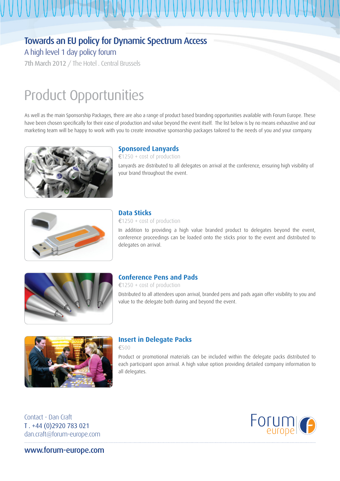A high level 1 day policy forum

7th March 2012 / The Hotel . Central Brussels

## Product Opportunities

As well as the main Sponsorship Packages, there are also a range of product based branding opportunities available with Forum Europe. These have been chosen specifically for their ease of production and value beyond the event itself. The list below is by no means exhaustive and our marketing team will be happy to work with you to create innovative sponsorship packages tailored to the needs of you and your company.



#### **Sponsored Lanyards**

€1250 + cost of production Lanyards are distributed to all delegates on arrival at the conference, ensuring high visibility of your brand throughout the event.



#### **Data Sticks**

€1250 + cost of production

In addition to providing a high value branded product to delegates beyond the event, conference proceedings can be loaded onto the sticks prior to the event and distributed to delegates on arrival.



#### **Conference Pens and Pads**

€1250 + cost of production

Distributed to all attendees upon arrival, branded pens and pads again offer visibility to you and value to the delegate both during and beyond the event.



#### **Insert in Delegate Packs**

€500

Product or promotional materials can be included within the delegate packs distributed to each participant upon arrival. A high value option providing detailed company information to all delegates.

Contact - Dan Craft T . +44 (0)2920 783 021 dan.craft@forum-europe.com

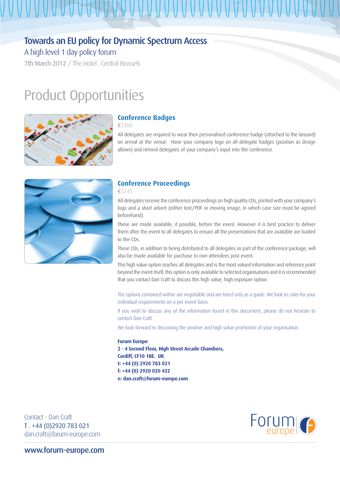### Towards an EU policy for Dynamic Spectrum Access

A high level 1 day policy forum

7th March 2012 / The Hotel . Central Brussels

### Product Opportunities



#### **Conference Badges**

€1200

All delegates are required to wear their personalised conference badge (attached to the lanyard) on arrival at the venue. Have your company logo on all delegate badges (position as design allows) and remind delegates of your company's input into the conference.



#### **Conference Proceedings**

€1245

All delegates receive the conference proceedings on high quality CDs, printed with your company's logo and a short advert (either text/PDF or moving image, in which case size must be agreed beforehand).

These are made available, if possible, before the event. However it is best practice to deliver them after the event to all delegates to ensure all the presentations that are available are loaded to the CDs.

These CDs, in addition to being distributed to all delegates as part of the conference package, will also be made available for purchase to non-attendees post event.

This high value option reaches all delegates and is the most valued information and reference point beyond the event itself, this option is only available to selected organisations and it is recommended that you contact Dan Craft to discuss this high value, high exposure option.

The options contained within are negotiable and are listed only as a guide. We look to cater for your individual requirements on a per event basis.

If you wish to discuss any of the information found in this document, please do not hesitate to contact Dan Craft.

We look forward to discussing the positive and high value promotion of your organisation.

#### **Forum Europe**

**2 - 4 Second Floor, High Street Arcade Chambers, Cardiff, CF10 1BE. UK t: +44 (0) 2920 783 021 f: +44 (0) 2920 020 432 e: dan.craft@forum-europe.com**

Contact - Dan Craft T . +44 (0)2920 783 021 dan.craft@forum-europe.com

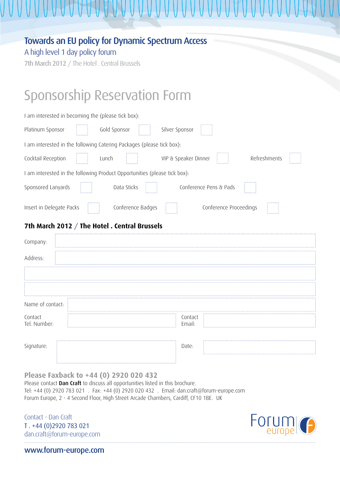|  |  |  | <b>Towards an EU policy for Dynamic Spectrum Access</b> |
|--|--|--|---------------------------------------------------------|
|--|--|--|---------------------------------------------------------|

A high level 1 day policy forum

7th March 2012 / The Hotel . Central Brussels

## Sponsorship Reservation Form

| I am interested in becoming the (please tick box):                        |
|---------------------------------------------------------------------------|
| Gold Sponsor<br>Platinum Sponsor<br>Silver Sponsor                        |
| I am interested in the following Catering Packages (please tick box):     |
| Cocktail Reception<br>Refreshments<br>Lunch<br>VIP & Speaker Dinner       |
| I am interested in the following Product Opportunities (please tick box): |
| Sponsored Lanyards<br>Data Sticks<br>Conference Pens & Pads               |
| Conference Badges<br>Insert in Delegate Packs<br>Conference Proceedings   |
| 7th March 2012 / The Hotel . Central Brussels                             |
| Company:                                                                  |
| Address:                                                                  |
|                                                                           |
|                                                                           |
| Name of contact:                                                          |
| Contact<br>Contact<br>Tel. Number:<br>Email:                              |
| Signature:<br>Date:                                                       |

**Please Faxback to +44 (0) 2920 020 432**

Please contact Dan Craft to discuss all opportunities listed in this brochure. Tel: +44 (0) 2920 783 021 . Fax: +44 (0) 2920 020 432 . Email: dan.craft@forum-europe.com Forum Europe, 2 - 4 Second Floor, High Street Arcade Chambers, Cardiff, CF10 1BE. UK

Contact - Dan Craft T . +44 (0)2920 783 021 dan.craft@forum-europe.com

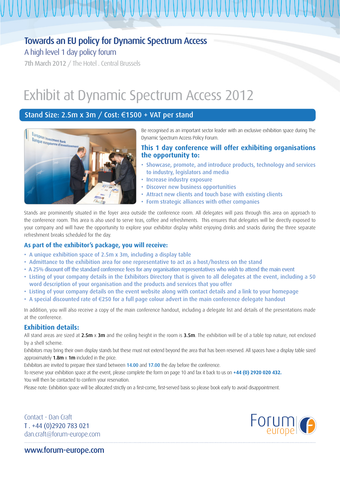### Towards an EU policy for Dynamic Spectrum Access

A high level 1 day policy forum

7th March 2012 / The Hotel . Central Brussels

## Exhibit at Dynamic Spectrum Access 2012

#### Stand Size: 2.5m x 3m / Cost: €1500 + VAT per stand



Be recognised as an important sector leader with an exclusive exhibition space during The Dynamic Spectrum Access Policy Forum.

#### **This 1 day conference will offer exhibiting organisations the opportunity to:**

- Showcase, promote, and introduce products, technology and services to industry, legislators and media
- Increase industry exposure
- Discover new business opportunities
- Attract new clients and touch base with existing clients
- Form strategic alliances with other companies

Stands are prominently situated in the foyer area outside the conference room. All delegates will pass through this area on approach to the conference room. This area is also used to serve teas, coffee and refreshments. This ensures that delegates will be directly exposed to your company and will have the opportunity to explore your exhibitor display whilst enjoying drinks and snacks during the three separate refreshment breaks scheduled for the day.

#### **As part of the exhibitor's package, you will receive:**

- A unique exhibition space of 2.5m x 3m, including a display table
- Admittance to the exhibition area for one representative to act as a host/hostess on the stand
- A 25% discount off the standard conference fees for any organisation representatives who wish to attend the main event
- Listing of your company details in the Exhibitors Directory that is given to all delegates at the event, including a 50 word description of your organisation and the products and services that you offer
- Listing of your company details on the event website along with contact details and a link to your homepage
- A special discounted rate of €250 for a full page colour advert in the main conference delegate handout

In addition, you will also receive a copy of the main conference handout, including a delegate list and details of the presentations made at the conference.

#### **Exhibition details:**

All stand areas are sized at  $2.5m \times 3m$  and the ceiling height in the room is  $3.5m$ . The exhibition will be of a table top nature, not enclosed by a shell scheme.

Exhibitors may bring their own display stands but these must not extend beyond the area that has been reserved. All spaces have a display table sized approximately  $1.8m \times 1m$  included in the price.

Exhibitors are invited to prepare their stand between 14.00 and 17.00 the day before the conference.

To reserve your exhibition space at the event, please complete the form on page 10 and fax it back to us on **+44 (0) 2920 020 432.**

You will then be contacted to confirm your reservation.

Please note: Exhibition space will be allocated strictly on a first-come, first-served basis so please book early to avoid disappointment.

Contact - Dan Craft T . +44 (0)2920 783 021 dan.craft@forum-europe.com